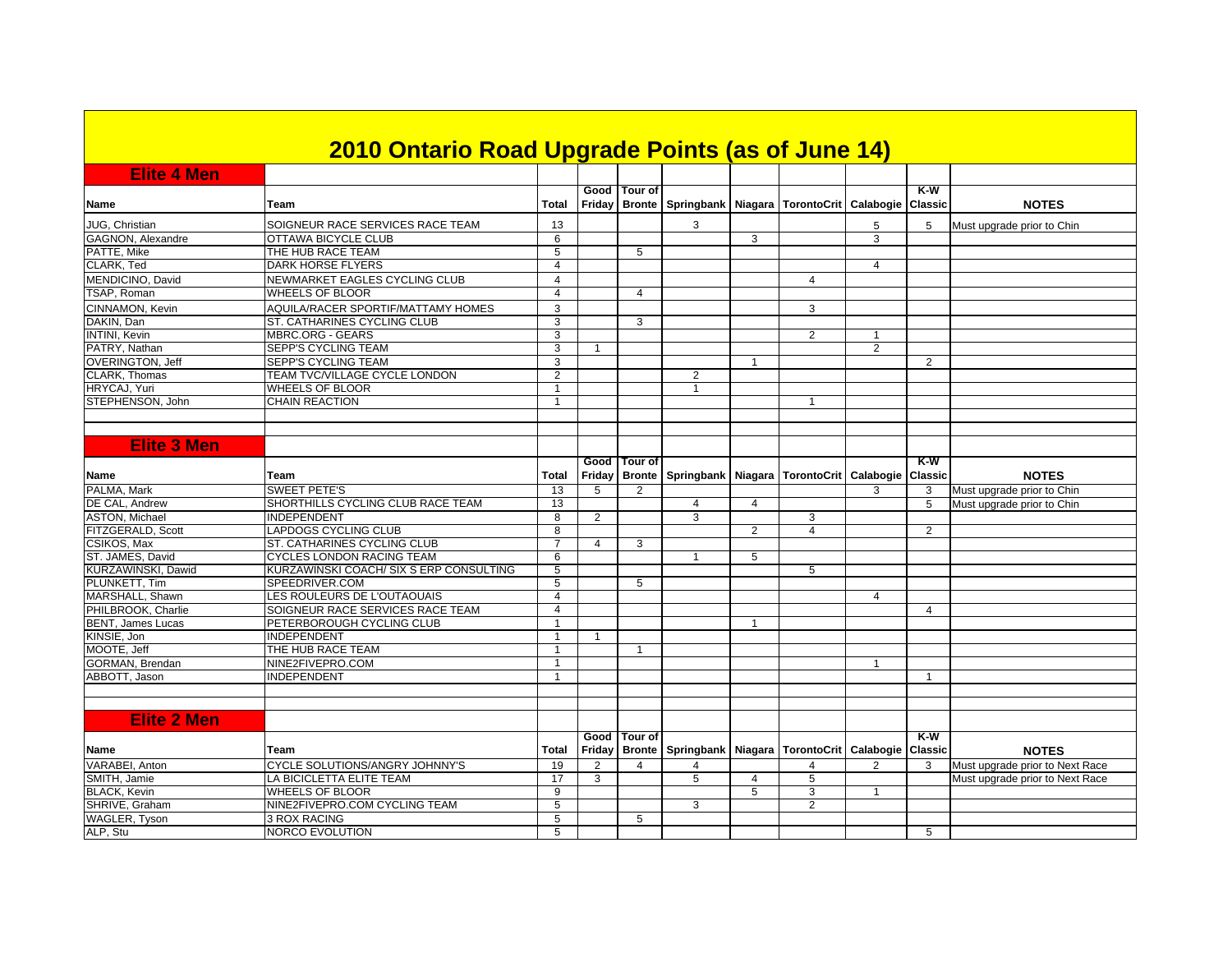|                            | 2010 Ontario Road Upgrade Points (as of June 14) |                               |                |                |                                                                            |                |                |                   |                       |                                 |
|----------------------------|--------------------------------------------------|-------------------------------|----------------|----------------|----------------------------------------------------------------------------|----------------|----------------|-------------------|-----------------------|---------------------------------|
| <b>Elite 4 Men</b>         |                                                  |                               |                |                |                                                                            |                |                |                   |                       |                                 |
| <b>Name</b>                | Team                                             | Total                         |                | Good Tour of   | Friday   Bronte   Springbank   Niagara   TorontoCrit                       |                |                | Calabogie         | K-W<br><b>Classic</b> | <b>NOTES</b>                    |
| JUG, Christian             | SOIGNEUR RACE SERVICES RACE TEAM                 | 13                            |                |                | 3                                                                          |                |                | 5                 | 5                     | Must upgrade prior to Chin      |
| GAGNON, Alexandre          | OTTAWA BICYCLE CLUB                              | 6                             |                |                |                                                                            | 3              |                | 3                 |                       |                                 |
| PATTE, Mike                | THE HUB RACE TEAM                                | 5                             |                | 5              |                                                                            |                |                |                   |                       |                                 |
| CLARK, Ted                 | DARK HORSE FLYERS                                | $\overline{4}$                |                |                |                                                                            |                |                | $\overline{4}$    |                       |                                 |
| MENDICINO, David           | NEWMARKET EAGLES CYCLING CLUB                    | $\overline{4}$                |                |                |                                                                            |                | 4              |                   |                       |                                 |
| TSAP, Roman                | WHEELS OF BLOOR                                  | $\overline{4}$                |                | 4              |                                                                            |                |                |                   |                       |                                 |
| CINNAMON, Kevin            | AQUILA/RACER SPORTIF/MATTAMY HOMES               | 3                             |                |                |                                                                            |                | 3              |                   |                       |                                 |
| DAKIN, Dan                 | ST. CATHARINES CYCLING CLUB                      | 3                             |                | 3              |                                                                            |                |                |                   |                       |                                 |
| <b>INTINI</b> , Kevin      | <b>MBRC.ORG - GEARS</b>                          | 3                             |                |                |                                                                            |                | 2              | $\mathbf{1}$      |                       |                                 |
| PATRY, Nathan              | SEPP'S CYCLING TEAM                              | 3                             | $\overline{1}$ |                |                                                                            |                |                | $\overline{2}$    |                       |                                 |
| <b>OVERINGTON, Jeff</b>    | SEPP'S CYCLING TEAM                              | 3                             |                |                |                                                                            | $\overline{1}$ |                |                   | $\overline{2}$        |                                 |
| CLARK, Thomas              | TEAM TVC/VILLAGE CYCLE LONDON                    | 2                             |                |                | 2                                                                          |                |                |                   |                       |                                 |
| HRYCAJ, Yuri               | <b>WHEELS OF BLOOR</b>                           | $\mathbf{1}$                  |                |                | $\mathbf{1}$                                                               |                |                |                   |                       |                                 |
| STEPHENSON, John           | <b>CHAIN REACTION</b>                            | $\mathbf{1}$                  |                |                |                                                                            |                | 1              |                   |                       |                                 |
|                            |                                                  |                               |                |                |                                                                            |                |                |                   |                       |                                 |
|                            |                                                  |                               |                |                |                                                                            |                |                |                   |                       |                                 |
| <b>Elite 3 Men</b>         |                                                  |                               |                |                |                                                                            |                |                |                   |                       |                                 |
| Name                       | <b>Team</b>                                      | Total                         |                | Good   Tour of | Friday   Bronte   Springbank   Niagara   TorontoCrit                       |                |                | Calabogie Classic | $K-W$                 | <b>NOTES</b>                    |
| PALMA, Mark                | <b>SWEET PETE'S</b>                              | 13                            | 5              | $\overline{2}$ |                                                                            |                |                | 3                 | 3                     | Must upgrade prior to Chin      |
| DE CAL, Andrew             | SHORTHILLS CYCLING CLUB RACE TEAM                | 13                            |                |                | $\overline{4}$                                                             | $\overline{4}$ |                |                   | $\overline{5}$        | Must upgrade prior to Chin      |
| <b>ASTON, Michael</b>      | <b>INDEPENDENT</b>                               | 8                             | 2              |                | 3                                                                          |                | 3              |                   |                       |                                 |
| FITZGERALD, Scott          | LAPDOGS CYCLING CLUB                             | 8                             |                |                |                                                                            | $\overline{2}$ | 4              |                   | $\overline{2}$        |                                 |
| CSIKOS, Max                | ST. CATHARINES CYCLING CLUB                      | $\overline{7}$                | 4              | 3              |                                                                            |                |                |                   |                       |                                 |
| ST. JAMES, David           | CYCLES LONDON RACING TEAM                        | 6                             |                |                | $\mathbf{1}$                                                               | 5              |                |                   |                       |                                 |
| KURZAWINSKI, Dawid         | KURZAWINSKI COACH/ SIX S ERP CONSULTING          | 5                             |                |                |                                                                            |                | 5              |                   |                       |                                 |
| PLUNKETT, Tim              | SPEEDRIVER.COM                                   | 5                             |                | 5              |                                                                            |                |                |                   |                       |                                 |
| MARSHALL, Shawn            | LES ROULEURS DE L'OUTAOUAIS                      | $\overline{4}$                |                |                |                                                                            |                |                | $\overline{4}$    |                       |                                 |
| PHILBROOK, Charlie         | SOIGNEUR RACE SERVICES RACE TEAM                 | $\overline{4}$                |                |                |                                                                            |                |                |                   | $\overline{4}$        |                                 |
| <b>BENT, James Lucas</b>   | PETERBOROUGH CYCLING CLUB<br><b>INDEPENDENT</b>  | $\overline{1}$<br>$\mathbf 1$ |                |                |                                                                            | $\mathbf{1}$   |                |                   |                       |                                 |
| KINSIE, Jon<br>MOOTE, Jeff | THE HUB RACE TEAM                                |                               | $\overline{1}$ |                |                                                                            |                |                |                   |                       |                                 |
| GORMAN, Brendan            | NINE2FIVEPRO.COM                                 | -1<br>$\overline{1}$          |                | -1             |                                                                            |                |                | $\mathbf{1}$      |                       |                                 |
| ABBOTT, Jason              | INDEPENDENT                                      | $\overline{1}$                |                |                |                                                                            |                |                |                   | $\mathbf{1}$          |                                 |
|                            |                                                  |                               |                |                |                                                                            |                |                |                   |                       |                                 |
|                            |                                                  |                               |                |                |                                                                            |                |                |                   |                       |                                 |
| <b>Elite 2 Men</b>         |                                                  |                               |                |                |                                                                            |                |                |                   |                       |                                 |
|                            |                                                  |                               |                | Good Tour of   |                                                                            |                |                |                   | $K-M$                 |                                 |
| Name                       | Team                                             | Total                         |                |                | Friday   Bronte   Springbank   Niagara   TorontoCrit   Calabogie   Classic |                |                |                   |                       | <b>NOTES</b>                    |
| VARABEI, Anton             | <b>CYCLE SOLUTIONS/ANGRY JOHNNY'S</b>            | 19                            | $\overline{2}$ | $\overline{4}$ | 4                                                                          |                | $\overline{4}$ | $\overline{2}$    | 3                     | Must upgrade prior to Next Race |
| SMITH, Jamie               | LA BICICLETTA ELITE TEAM                         | $\overline{17}$               | 3              |                | 5                                                                          | 4              | 5              |                   |                       | Must upgrade prior to Next Race |
| <b>BLACK, Kevin</b>        | WHEELS OF BLOOR                                  | 9                             |                |                |                                                                            | 5              | 3              | $\overline{1}$    |                       |                                 |
| SHRIVE, Graham             | NINE2FIVEPRO.COM CYCLING TEAM                    | 5                             |                |                | 3                                                                          |                | $\overline{2}$ |                   |                       |                                 |
| WAGLER, Tyson              | 3 ROX RACING                                     | 5                             |                | 5              |                                                                            |                |                |                   |                       |                                 |
| ALP, Stu                   | <b>NORCO EVOLUTION</b>                           | 5                             |                |                |                                                                            |                |                |                   | 5                     |                                 |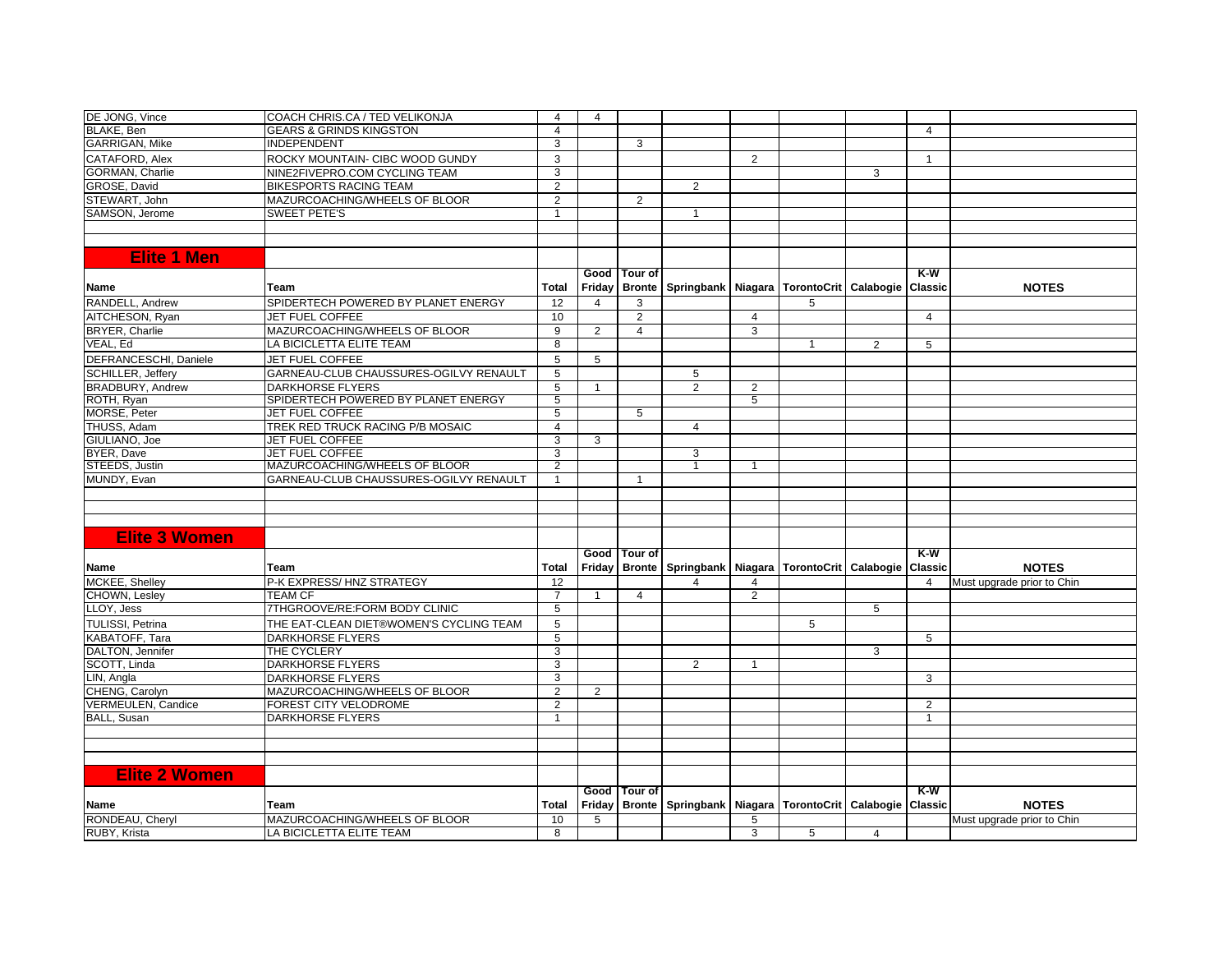| DE JONG, Vince            | COACH CHRIS.CA / TED VELIKONJA          | $\overline{4}$  | $\overline{4}$ |                |                                                                            |                |    |   |                |                            |
|---------------------------|-----------------------------------------|-----------------|----------------|----------------|----------------------------------------------------------------------------|----------------|----|---|----------------|----------------------------|
| BLAKE, Ben                | <b>GEARS &amp; GRINDS KINGSTON</b>      | $\overline{4}$  |                |                |                                                                            |                |    |   | $\overline{4}$ |                            |
| <b>GARRIGAN, Mike</b>     | INDEPENDENT                             | 3               |                | 3              |                                                                            |                |    |   |                |                            |
| CATAFORD, Alex            | ROCKY MOUNTAIN- CIBC WOOD GUNDY         | 3               |                |                |                                                                            | 2              |    |   | $\overline{1}$ |                            |
| GORMAN, Charlie           | NINE2FIVEPRO.COM CYCLING TEAM           | 3               |                |                |                                                                            |                |    | 3 |                |                            |
| GROSE, David              | <b>BIKESPORTS RACING TEAM</b>           | $\overline{2}$  |                |                | $\overline{2}$                                                             |                |    |   |                |                            |
| STEWART, John             | MAZURCOACHING/WHEELS OF BLOOR           | 2               |                | $\overline{2}$ |                                                                            |                |    |   |                |                            |
| SAMSON, Jerome            | <b>SWEET PETE'S</b>                     | $\overline{1}$  |                |                | $\mathbf{1}$                                                               |                |    |   |                |                            |
|                           |                                         |                 |                |                |                                                                            |                |    |   |                |                            |
|                           |                                         |                 |                |                |                                                                            |                |    |   |                |                            |
| <b>Elite 1 Men</b>        |                                         |                 |                |                |                                                                            |                |    |   |                |                            |
|                           |                                         |                 |                | Good   Tour of |                                                                            |                |    |   | $K-W$          |                            |
| <b>Name</b>               | Team                                    | Total           | Friday         | <b>Bronte</b>  | Springbank Niagara TorontoCrit Calabogie                                   |                |    |   | Classic        | <b>NOTES</b>               |
| RANDELL, Andrew           | SPIDERTECH POWERED BY PLANET ENERGY     | 12              | $\overline{4}$ | 3              |                                                                            |                | 5  |   |                |                            |
| AITCHESON, Ryan           | JET FUEL COFFEE                         | 10              |                | $\overline{2}$ |                                                                            | $\overline{4}$ |    |   | $\overline{4}$ |                            |
| BRYER, Charlie            | MAZURCOACHING/WHEELS OF BLOOR           | 9               | $\overline{2}$ | $\overline{4}$ |                                                                            | 3              |    |   |                |                            |
| VEAL, Ed                  | LA BICICLETTA ELITE TEAM                | 8               |                |                |                                                                            |                | -1 | 2 | 5              |                            |
| DEFRANCESCHI, Daniele     | JET FUEL COFFEE                         | 5               | 5              |                |                                                                            |                |    |   |                |                            |
| SCHILLER, Jeffery         | GARNEAU-CLUB CHAUSSURES-OGILVY RENAULT  | 5               |                |                | 5                                                                          |                |    |   |                |                            |
| <b>BRADBURY, Andrew</b>   | <b>DARKHORSE FLYERS</b>                 | 5               | $\mathbf{1}$   |                | $\overline{2}$                                                             | 2              |    |   |                |                            |
| ROTH, Ryan                | SPIDERTECH POWERED BY PLANET ENERGY     | 5               |                |                |                                                                            | 5              |    |   |                |                            |
| <b>MORSE, Peter</b>       | <b>JET FUEL COFFEE</b>                  | $\overline{5}$  |                | 5              |                                                                            |                |    |   |                |                            |
| THUSS, Adam               | TREK RED TRUCK RACING P/B MOSAIC        | $\overline{4}$  |                |                | $\overline{4}$                                                             |                |    |   |                |                            |
| GIULIANO, Joe             | <b>JET FUEL COFFEE</b>                  | 3               | 3              |                |                                                                            |                |    |   |                |                            |
| BYER, Dave                | <b>JET FUEL COFFEE</b>                  | 3               |                |                | 3                                                                          |                |    |   |                |                            |
| STEEDS, Justin            | MAZURCOACHING/WHEELS OF BLOOR           | 2               |                |                | 1                                                                          | $\mathbf{1}$   |    |   |                |                            |
| MUNDY, Evan               | GARNEAU-CLUB CHAUSSURES-OGILVY RENAULT  | -1              |                | -1             |                                                                            |                |    |   |                |                            |
|                           |                                         |                 |                |                |                                                                            |                |    |   |                |                            |
|                           |                                         |                 |                |                |                                                                            |                |    |   |                |                            |
|                           |                                         |                 |                |                |                                                                            |                |    |   |                |                            |
| <b>Elite 3 Women</b>      |                                         |                 |                |                |                                                                            |                |    |   |                |                            |
|                           |                                         |                 |                | Good   Tour of |                                                                            |                |    |   | K-W            |                            |
| <b>Name</b>               | Team                                    | Total           |                |                | Friday   Bronte   Springbank   Niagara   TorontoCrit   Calabogie   Classic |                |    |   |                | <b>NOTES</b>               |
| MCKEE, Shelley            | P-K EXPRESS/HNZ STRATEGY                | $\overline{12}$ |                |                | 4                                                                          | $\overline{4}$ |    |   | $\overline{4}$ | Must upgrade prior to Chin |
| CHOWN, Lesley             | <b>TEAM CF</b>                          | $\overline{7}$  | $\overline{1}$ | $\overline{4}$ |                                                                            | $\overline{2}$ |    |   |                |                            |
| LLOY, Jess                | 7THGROOVE/RE:FORM BODY CLINIC           | 5               |                |                |                                                                            |                |    | 5 |                |                            |
| <b>TULISSI, Petrina</b>   | THE EAT-CLEAN DIET®WOMEN'S CYCLING TEAM | 5               |                |                |                                                                            |                | 5  |   |                |                            |
| KABATOFF, Tara            | <b>DARKHORSE FLYERS</b>                 | 5               |                |                |                                                                            |                |    |   | 5              |                            |
| DALTON, Jennifer          | THE CYCLERY                             | 3               |                |                |                                                                            |                |    | 3 |                |                            |
| SCOTT, Linda              | <b>DARKHORSE FLYERS</b>                 | 3               |                |                | $\overline{2}$                                                             | $\mathbf 1$    |    |   |                |                            |
| LIN, Angla                | <b>DARKHORSE FLYERS</b>                 | 3               |                |                |                                                                            |                |    |   | 3              |                            |
| CHENG, Carolyn            | MAZURCOACHING/WHEELS OF BLOOR           | 2               | $\overline{2}$ |                |                                                                            |                |    |   |                |                            |
| <b>VERMEULEN, Candice</b> | FOREST CITY VELODROME                   | $\overline{2}$  |                |                |                                                                            |                |    |   | $\overline{2}$ |                            |
| <b>BALL, Susan</b>        | <b>DARKHORSE FLYERS</b>                 | $\overline{1}$  |                |                |                                                                            |                |    |   | $\mathbf{1}$   |                            |
|                           |                                         |                 |                |                |                                                                            |                |    |   |                |                            |
|                           |                                         |                 |                |                |                                                                            |                |    |   |                |                            |
|                           |                                         |                 |                |                |                                                                            |                |    |   |                |                            |
| <b>Elite 2 Women</b>      |                                         |                 |                |                |                                                                            |                |    |   |                |                            |
|                           |                                         |                 | Good           | Tour of        |                                                                            |                |    |   | $K-W$          |                            |
| <b>Name</b>               | Team                                    | Total           | Friday         |                | Bronte   Springbank   Niagara   TorontoCrit   Calabogie   Classic          |                |    |   |                | <b>NOTES</b>               |
| RONDEAU, Cheryl           | MAZURCOACHING/WHEELS OF BLOOR           | 10              | 5              |                |                                                                            | 5              |    |   |                | Must upgrade prior to Chin |
| RUBY, Krista              | LA BICICLETTA ELITE TEAM                | 8               |                |                |                                                                            | 3              | 5  | 4 |                |                            |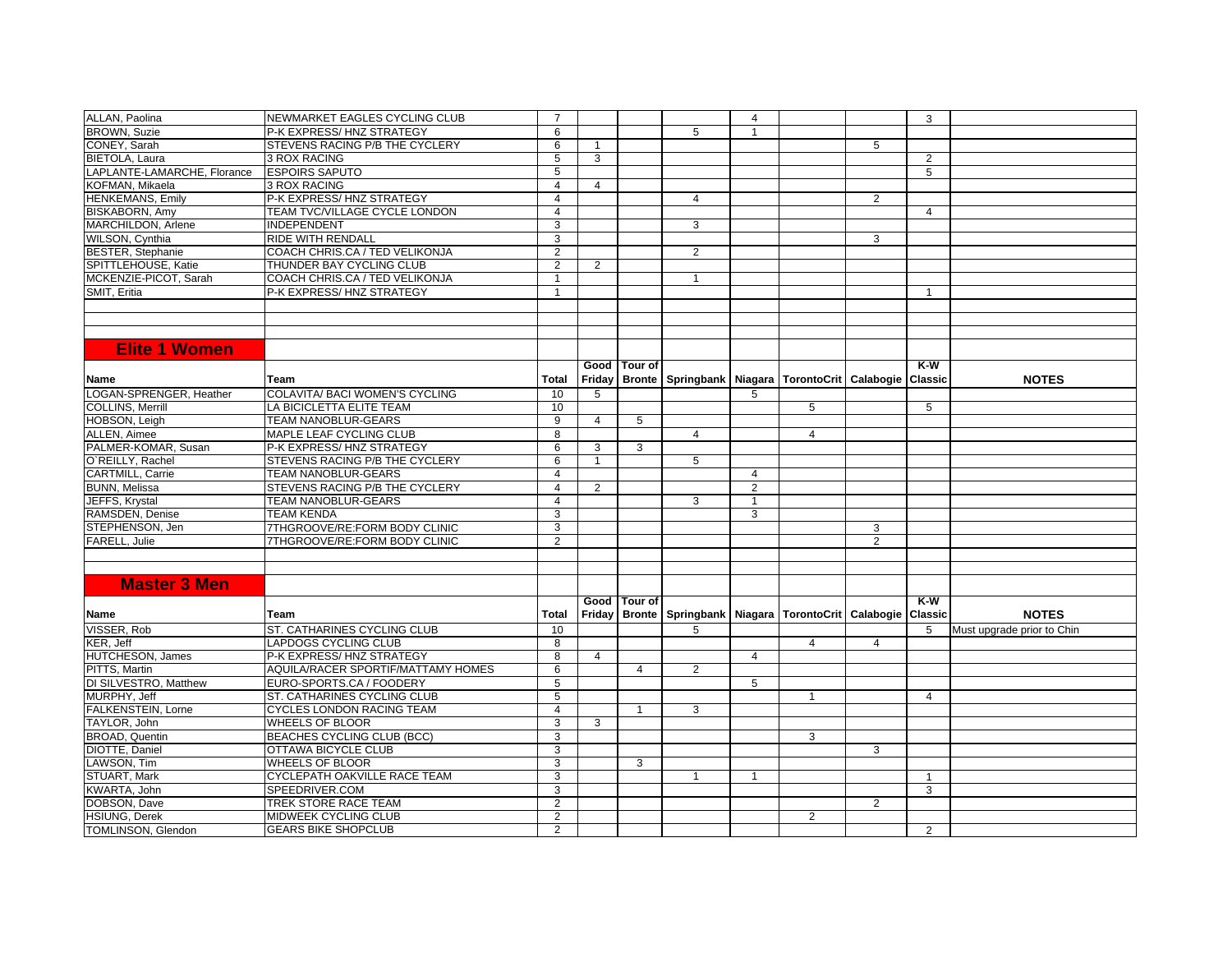| ALLAN, Paolina              | NEWMARKET EAGLES CYCLING CLUB      | $\overline{7}$ |                |                |                                                                            | 4              |                |                | 3              |                            |
|-----------------------------|------------------------------------|----------------|----------------|----------------|----------------------------------------------------------------------------|----------------|----------------|----------------|----------------|----------------------------|
| <b>BROWN, Suzie</b>         | P-K EXPRESS/ HNZ STRATEGY          | 6              |                |                | 5                                                                          | $\overline{1}$ |                |                |                |                            |
| CONEY, Sarah                | STEVENS RACING P/B THE CYCLERY     | 6              | $\overline{1}$ |                |                                                                            |                |                | 5              |                |                            |
| <b>BIETOLA, Laura</b>       | <b>3 ROX RACING</b>                | 5              | 3              |                |                                                                            |                |                |                | 2              |                            |
| LAPLANTE-LAMARCHE, Florance | <b>ESPOIRS SAPUTO</b>              | $\overline{5}$ |                |                |                                                                            |                |                |                | $\overline{5}$ |                            |
| KOFMAN, Mikaela             | 3 ROX RACING                       | $\overline{4}$ | $\overline{4}$ |                |                                                                            |                |                |                |                |                            |
| <b>HENKEMANS, Emily</b>     | P-K EXPRESS/HNZ STRATEGY           | $\overline{4}$ |                |                | $\overline{4}$                                                             |                |                | $\overline{2}$ |                |                            |
| <b>BISKABORN, Amy</b>       | TEAM TVC/VILLAGE CYCLE LONDON      | $\overline{4}$ |                |                |                                                                            |                |                |                | 4              |                            |
| MARCHILDON, Arlene          | <b>INDEPENDENT</b>                 | 3              |                |                | 3                                                                          |                |                |                |                |                            |
| WILSON, Cynthia             | RIDE WITH RENDALI                  | 3              |                |                |                                                                            |                |                | 3              |                |                            |
| BESTER, Stephanie           | COACH CHRIS.CA / TED VELIKONJA     | $\overline{2}$ |                |                | 2                                                                          |                |                |                |                |                            |
| SPITTLEHOUSE, Katie         | THUNDER BAY CYCLING CLUB           | 2              | 2              |                |                                                                            |                |                |                |                |                            |
| MCKENZIE-PICOT, Sarah       | COACH CHRIS.CA / TED VELIKONJA     | $\overline{1}$ |                |                | $\mathbf{1}$                                                               |                |                |                |                |                            |
| SMIT, Eritia                | P-K EXPRESS/HNZ STRATEGY           | -1             |                |                |                                                                            |                |                |                | $\overline{1}$ |                            |
|                             |                                    |                |                |                |                                                                            |                |                |                |                |                            |
|                             |                                    |                |                |                |                                                                            |                |                |                |                |                            |
|                             |                                    |                |                |                |                                                                            |                |                |                |                |                            |
|                             |                                    |                |                |                |                                                                            |                |                |                |                |                            |
| <b>Elite 1 Women</b>        |                                    |                |                |                |                                                                            |                |                |                |                |                            |
|                             |                                    |                |                | Good   Tour of |                                                                            |                |                |                | K-W            |                            |
| <b>Name</b>                 | <b>Team</b>                        | Total          |                |                | Friday   Bronte   Springbank   Niagara   TorontoCrit   Calabogie   Classic |                |                |                |                | <b>NOTES</b>               |
| LOGAN-SPRENGER, Heather     | COLAVITA/ BACI WOMEN'S CYCLING     | 10             | 5              |                |                                                                            | 5              |                |                |                |                            |
| <b>COLLINS, Merrill</b>     | LA BICICLETTA ELITE TEAM           | 10             |                |                |                                                                            |                | 5              |                | 5              |                            |
| HOBSON, Leigh               | TEAM NANOBLUR-GEARS                | 9              | 4              | 5              |                                                                            |                |                |                |                |                            |
| ALLEN, Aimee                | MAPLE LEAF CYCLING CLUB            | 8              |                |                | $\overline{4}$                                                             |                | $\overline{4}$ |                |                |                            |
| PALMER-KOMAR, Susan         | P-K EXPRESS/HNZ STRATEGY           | 6              | 3              | 3              |                                                                            |                |                |                |                |                            |
| O'REILLY, Rachel            | STEVENS RACING P/B THE CYCLERY     | 6              | -1             |                | 5                                                                          |                |                |                |                |                            |
| <b>CARTMILL, Carrie</b>     | <b>TEAM NANOBLUR-GEARS</b>         | $\overline{4}$ |                |                |                                                                            | $\overline{4}$ |                |                |                |                            |
| <b>BUNN, Melissa</b>        | STEVENS RACING P/B THE CYCLERY     | $\overline{4}$ | $\overline{2}$ |                |                                                                            | $\overline{2}$ |                |                |                |                            |
| JEFFS, Krystal              | TEAM NANOBLUR-GEARS                | 4              |                |                | 3                                                                          | $\mathbf 1$    |                |                |                |                            |
| RAMSDEN, Denise             | <b>TEAM KENDA</b>                  | 3              |                |                |                                                                            | 3              |                |                |                |                            |
| STEPHENSON, Jen             | 7THGROOVE/RE:FORM BODY CLINIC      | 3              |                |                |                                                                            |                |                | 3              |                |                            |
| FARELL, Julie               | 7THGROOVE/RE:FORM BODY CLINIC      | 2              |                |                |                                                                            |                |                | $\overline{2}$ |                |                            |
|                             |                                    |                |                |                |                                                                            |                |                |                |                |                            |
|                             |                                    |                |                |                |                                                                            |                |                |                |                |                            |
| <b>Master 3 Men</b>         |                                    |                |                |                |                                                                            |                |                |                |                |                            |
|                             |                                    |                |                |                |                                                                            |                |                |                |                |                            |
|                             |                                    |                |                | Good Tour of   |                                                                            |                |                |                | K-W            |                            |
| <b>Name</b>                 | <b>Team</b>                        | Total          |                |                | Friday   Bronte   Springbank   Niagara   TorontoCrit   Calabogie   Classic |                |                |                |                | <b>NOTES</b>               |
| VISSER, Rob                 | ST. CATHARINES CYCLING CLUB        | 10             |                |                | 5                                                                          |                |                |                | 5              | Must upgrade prior to Chin |
| KER, Jeff                   | <b>LAPDOGS CYCLING CLUB</b>        | 8              |                |                |                                                                            |                | $\overline{4}$ | $\overline{4}$ |                |                            |
| <b>HUTCHESON, James</b>     | P-K EXPRESS/HNZ STRATEGY           | 8              | 4              |                |                                                                            | 4              |                |                |                |                            |
| PITTS, Martin               | AQUILA/RACER SPORTIF/MATTAMY HOMES | 6              |                | $\overline{4}$ | $\overline{2}$                                                             |                |                |                |                |                            |
| DI SILVESTRO, Matthew       | EURO-SPORTS.CA / FOODERY           | 5              |                |                |                                                                            | 5              |                |                |                |                            |
| MURPHY, Jeff                | ST. CATHARINES CYCLING CLUB        | 5              |                |                |                                                                            |                | $\overline{1}$ |                | $\overline{4}$ |                            |
| <b>FALKENSTEIN, Lorne</b>   | <b>CYCLES LONDON RACING TEAM</b>   | 4              |                | $\overline{1}$ | 3                                                                          |                |                |                |                |                            |
| TAYLOR, John                | <b>WHEELS OF BLOOR</b>             | 3              | 3              |                |                                                                            |                |                |                |                |                            |
| <b>BROAD, Quentin</b>       | <b>BEACHES CYCLING CLUB (BCC)</b>  | 3              |                |                |                                                                            |                | 3              |                |                |                            |
| DIOTTE, Daniel              | OTTAWA BICYCLE CLUB                | 3              |                |                |                                                                            |                |                | 3              |                |                            |
| LAWSON, Tim                 | <b>WHEELS OF BLOOR</b>             | 3              |                | 3              |                                                                            |                |                |                |                |                            |
| STUART, Mark                | CYCLEPATH OAKVILLE RACE TEAM       | 3              |                |                | $\overline{1}$                                                             | $\mathbf{1}$   |                |                | $\overline{1}$ |                            |
| KWARTA, John                | SPEEDRIVER.COM                     | 3              |                |                |                                                                            |                |                |                | 3              |                            |
| DOBSON, Dave                | <b>TREK STORE RACE TEAM</b>        | 2              |                |                |                                                                            |                |                | $\overline{2}$ |                |                            |
| <b>HSIUNG, Derek</b>        | MIDWEEK CYCLING CLUB               | 2              |                |                |                                                                            |                | 2              |                |                |                            |
|                             |                                    |                |                |                |                                                                            |                |                |                |                |                            |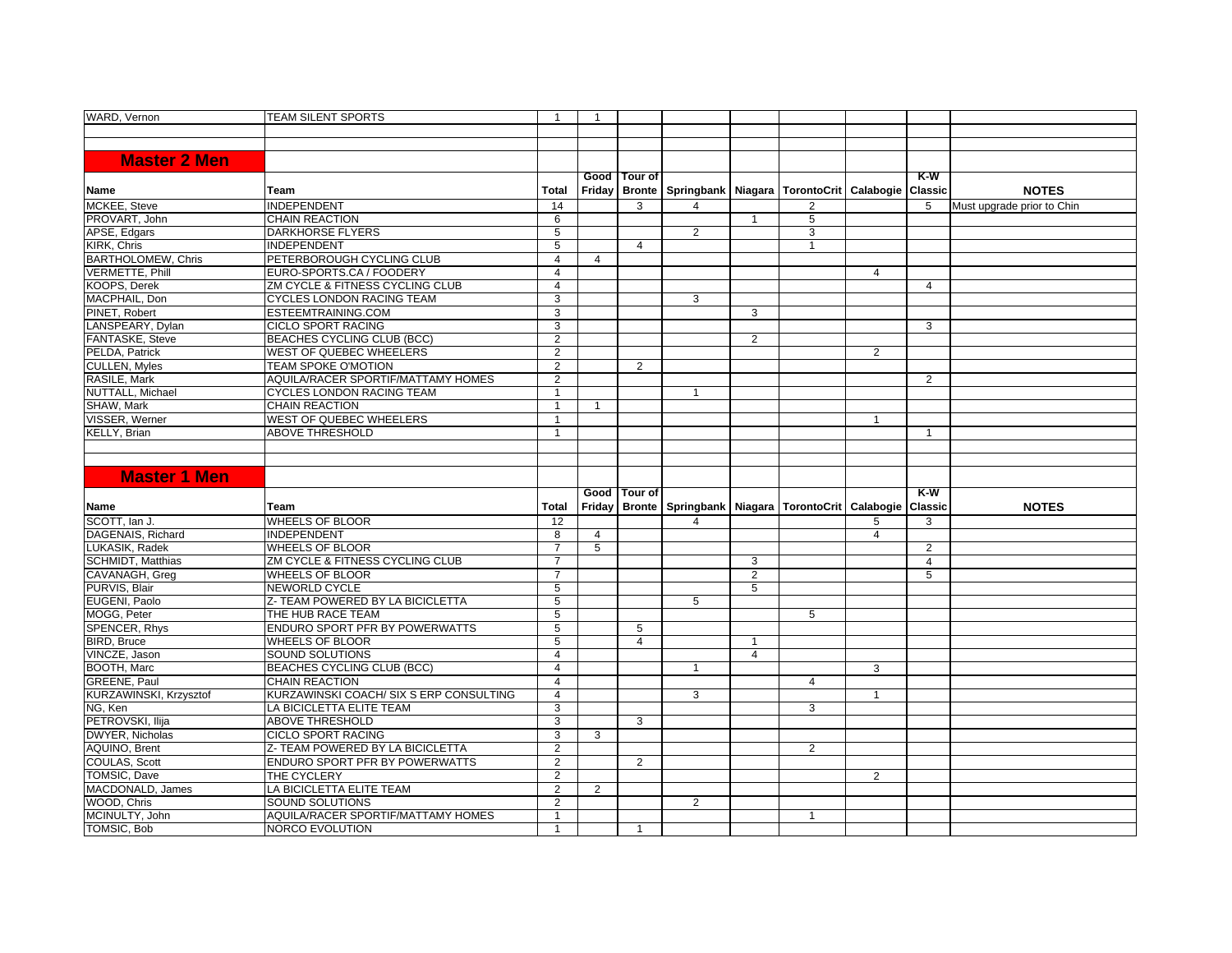| <b>WARD, Vernon</b>             | <b>TEAM SILENT SPORTS</b>               | $\overline{1}$          | $\overline{1}$ |                |                                                          |                |                |                |                |                            |
|---------------------------------|-----------------------------------------|-------------------------|----------------|----------------|----------------------------------------------------------|----------------|----------------|----------------|----------------|----------------------------|
|                                 |                                         |                         |                |                |                                                          |                |                |                |                |                            |
|                                 |                                         |                         |                |                |                                                          |                |                |                |                |                            |
|                                 |                                         |                         |                |                |                                                          |                |                |                |                |                            |
| <b>Master 2 Men</b>             |                                         |                         |                |                |                                                          |                |                |                |                |                            |
|                                 |                                         |                         |                | Good   Tour of |                                                          |                |                |                | $K-W$          |                            |
| Name                            | Team                                    | <b>Total</b>            |                | Friday Bronte  | Springbank   Niagara   TorontoCrit   Calabogie   Classic |                |                |                |                | <b>NOTES</b>               |
| MCKEE, Steve                    | <b>INDEPENDENT</b>                      | 14                      |                | 3              | 4                                                        |                | $\overline{2}$ |                | 5              | Must upgrade prior to Chin |
| PROVART. John                   | <b>CHAIN REACTION</b>                   | 6                       |                |                |                                                          | $\overline{1}$ | 5              |                |                |                            |
| APSE, Edgars                    | <b>DARKHORSE FLYERS</b>                 | 5                       |                |                | $\overline{2}$                                           |                | 3              |                |                |                            |
| KIRK, Chris                     | <b>INDEPENDENT</b>                      | 5                       |                | 4              |                                                          |                | $\overline{1}$ |                |                |                            |
| <b>BARTHOLOMEW, Chris</b>       | PETERBOROUGH CYCLING CLUB               | $\overline{4}$          | $\overline{4}$ |                |                                                          |                |                |                |                |                            |
| <b>VERMETTE, Phill</b>          | EURO-SPORTS.CA / FOODERY                | $\overline{4}$          |                |                |                                                          |                |                | $\overline{4}$ |                |                            |
| <b>KOOPS, Derek</b>             | ZM CYCLE & FITNESS CYCLING CLUB         | $\overline{4}$          |                |                |                                                          |                |                |                | $\overline{4}$ |                            |
| MACPHAIL, Don                   | <b>CYCLES LONDON RACING TEAM</b>        | 3                       |                |                | 3                                                        |                |                |                |                |                            |
| PINET, Robert                   | ESTEEMTRAINING.COM                      | 3                       |                |                |                                                          | 3              |                |                |                |                            |
| LANSPEARY, Dylan                | <b>CICLO SPORT RACING</b>               | 3                       |                |                |                                                          |                |                |                | 3              |                            |
| FANTASKE, Steve                 | BEACHES CYCLING CLUB (BCC)              | $\overline{2}$          |                |                |                                                          | $\overline{2}$ |                |                |                |                            |
| PELDA, Patrick                  | <b>WEST OF QUEBEC WHEELERS</b>          | 2                       |                |                |                                                          |                |                | 2              |                |                            |
| <b>CULLEN, Myles</b>            | <b>TEAM SPOKE O'MOTION</b>              | $\overline{2}$          |                | $\overline{2}$ |                                                          |                |                |                |                |                            |
| RASILE, Mark                    | AQUILA/RACER SPORTIF/MATTAMY HOMES      | $\overline{2}$          |                |                |                                                          |                |                |                | 2              |                            |
| NUTTALL, Michael                | <b>CYCLES LONDON RACING TEAM</b>        | $\overline{1}$          |                |                | $\mathbf{1}$                                             |                |                |                |                |                            |
| SHAW. Mark                      | <b>CHAIN REACTION</b>                   | $\overline{1}$          | $\overline{1}$ |                |                                                          |                |                |                |                |                            |
| VISSER, Werner                  | <b>WEST OF QUEBEC WHEELERS</b>          |                         |                |                |                                                          |                |                | $\mathbf 1$    |                |                            |
| <b>KELLY, Brian</b>             | <b>ABOVE THRESHOLD</b>                  | $\overline{\mathbf{1}}$ |                |                |                                                          |                |                |                | $\mathbf{1}$   |                            |
|                                 |                                         |                         |                |                |                                                          |                |                |                |                |                            |
|                                 |                                         |                         |                |                |                                                          |                |                |                |                |                            |
|                                 |                                         |                         |                |                |                                                          |                |                |                |                |                            |
|                                 |                                         |                         |                |                |                                                          |                |                |                |                |                            |
| <b>Master 1 Men</b>             |                                         |                         |                |                |                                                          |                |                |                |                |                            |
|                                 |                                         |                         |                | Good Tour of   |                                                          |                |                |                | $K-W$          |                            |
| Name                            | Team                                    | <b>Total</b>            |                | Friday Bronte  | Springbank   Niagara   TorontoCrit   Calabogie   Classic |                |                |                |                | <b>NOTES</b>               |
| SCOTT, Ian J.                   | <b>WHEELS OF BLOOR</b>                  | 12                      |                |                | 4                                                        |                |                | 5              | 3              |                            |
| DAGENAIS, Richard               | <b>INDEPENDENT</b>                      | $\overline{8}$          | $\overline{4}$ |                |                                                          |                |                | 4              |                |                            |
| LUKASIK, Radek                  | <b>WHEELS OF BLOOR</b>                  | $\overline{7}$          | 5              |                |                                                          |                |                |                | 2              |                            |
| <b>SCHMIDT, Matthias</b>        | ZM CYCLE & FITNESS CYCLING CLUB         | $\overline{7}$          |                |                |                                                          | 3              |                |                | $\overline{4}$ |                            |
|                                 | <b>WHEELS OF BLOOR</b>                  | $\overline{7}$          |                |                |                                                          | $\overline{2}$ |                |                | 5              |                            |
| CAVANAGH, Greg<br>PURVIS, Blair | <b>NEWORLD CYCLE</b>                    | $\overline{5}$          |                |                |                                                          | 5              |                |                |                |                            |
| EUGENI, Paolo                   | Z- TEAM POWERED BY LA BICICLETTA        | $\overline{5}$          |                |                | 5                                                        |                |                |                |                |                            |
| MOGG, Peter                     | THE HUB RACE TEAM                       | 5                       |                |                |                                                          |                | 5              |                |                |                            |
| SPENCER, Rhys                   | ENDURO SPORT PFR BY POWERWATTS          | $\overline{5}$          |                | 5              |                                                          |                |                |                |                |                            |
| <b>BIRD.</b> Bruce              | <b>WHEELS OF BLOOR</b>                  | 5                       |                | $\overline{4}$ |                                                          | $\overline{1}$ |                |                |                |                            |
| VINCZE, Jason                   | SOUND SOLUTIONS                         | $\overline{4}$          |                |                |                                                          | $\overline{4}$ |                |                |                |                            |
| BOOTH, Marc                     | BEACHES CYCLING CLUB (BCC)              | $\overline{4}$          |                |                | $\mathbf{1}$                                             |                |                | 3              |                |                            |
| GREENE, Paul                    | <b>CHAIN REACTION</b>                   | $\overline{4}$          |                |                |                                                          |                | 4              |                |                |                            |
| KURZAWINSKI, Krzysztof          | KURZAWINSKI COACH/ SIX S ERP CONSULTING | $\overline{4}$          |                |                | 3                                                        |                |                | $\overline{1}$ |                |                            |
|                                 | LA BICICLETTA ELITE TEAM                | 3                       |                |                |                                                          |                | 3              |                |                |                            |
| NG, Ken<br>PETROVSKI, Ilija     | <b>ABOVE THRESHOLD</b>                  | 3                       |                | 3              |                                                          |                |                |                |                |                            |
| DWYER, Nicholas                 | <b>CICLO SPORT RACING</b>               | 3                       | 3              |                |                                                          |                |                |                |                |                            |
| AQUINO, Brent                   | Z- TEAM POWERED BY LA BICICLETTA        | $\overline{2}$          |                |                |                                                          |                | $\overline{2}$ |                |                |                            |
| COULAS, Scott                   | ENDURO SPORT PFR BY POWERWATTS          | $\overline{2}$          |                | 2              |                                                          |                |                |                |                |                            |
| TOMSIC, Dave                    | THE CYCLERY                             | $\overline{2}$          |                |                |                                                          |                |                | 2              |                |                            |
| MACDONALD, James                | LA BICICLETTA ELITE TEAM                | 2                       | 2              |                |                                                          |                |                |                |                |                            |
| WOOD, Chris                     | <b>SOUND SOLUTIONS</b>                  | $\overline{2}$          |                |                | $\overline{2}$                                           |                |                |                |                |                            |
| MCINULTY, John                  | AQUILA/RACER SPORTIF/MATTAMY HOMES      | $\overline{1}$          |                |                |                                                          |                | $\overline{1}$ |                |                |                            |